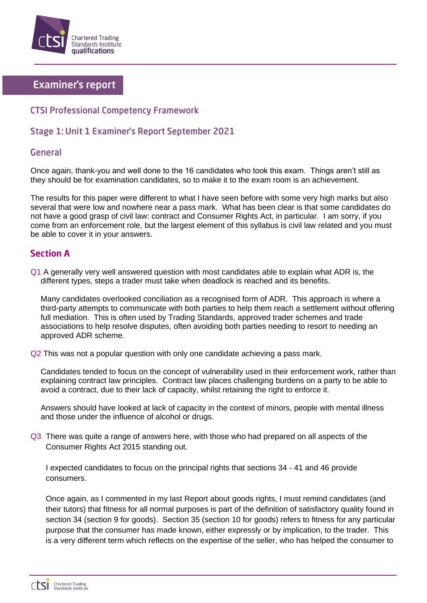

# **Examiner's report**

## **CTSI Professional Competency Framework**

## Stage 1: Unit 1 Examiner's Report September 2021

### **General**

Once again, thank-you and well done to the 16 candidates who took this exam. Things aren't still as they should be for examination candidates, so to make it to the exam room is an achievement.

The results for this paper were different to what I have seen before with some very high marks but also several that were low and nowhere near a pass mark. What has been clear is that some candidates do not have a good grasp of civil law: contract and Consumer Rights Act, in particular. I am sorry, if you come from an enforcement role, but the largest element of this syllabus is civil law related and you must be able to cover it in your answers.

## **Section A**

Q1 A generally very well answered question with most candidates able to explain what ADR is, the different types, steps a trader must take when deadlock is reached and its benefits.

Many candidates overlooked conciliation as a recognised form of ADR. This approach is where a third-party attempts to communicate with both parties to help them reach a settlement without offering full mediation. This is often used by Trading Standards, approved trader schemes and trade associations to help resolve disputes, often avoiding both parties needing to resort to needing an approved ADR scheme.

Q2 This was not a popular question with only one candidate achieving a pass mark.

Candidates tended to focus on the concept of vulnerability used in their enforcement work, rather than explaining contract law principles. Contract law places challenging burdens on a party to be able to avoid a contract, due to their lack of capacity, whilst retaining the right to enforce it.

Answers should have looked at lack of capacity in the context of minors, people with mental illness and those under the influence of alcohol or drugs.

Q3 There was quite a range of answers here, with those who had prepared on all aspects of the Consumer Rights Act 2015 standing out.

I expected candidates to focus on the principal rights that sections 34 - 41 and 46 provide consumers.

Once again, as I commented in my last Report about goods rights, I must remind candidates (and their tutors) that fitness for all normal purposes is part of the definition of satisfactory quality found in section 34 (section 9 for goods). Section 35 (section 10 for goods) refers to fitness for any particular purpose that the consumer has made known, either expressly or by implication, to the trader. This is a very different term which reflects on the expertise of the seller, who has helped the consumer to

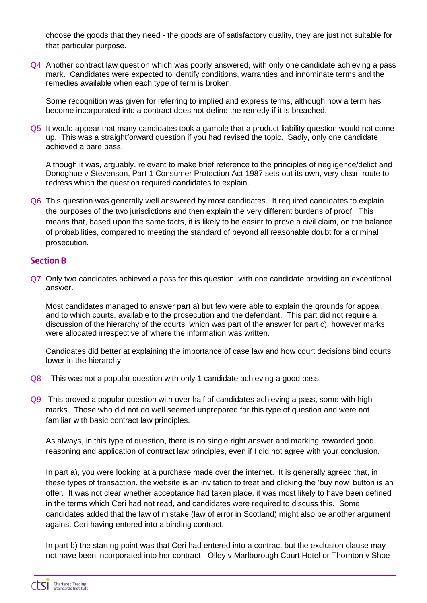choose the goods that they need - the goods are of satisfactory quality, they are just not suitable for that particular purpose.

Q4 Another contract law question which was poorly answered, with only one candidate achieving a pass mark. Candidates were expected to identify conditions, warranties and innominate terms and the remedies available when each type of term is broken.

Some recognition was given for referring to implied and express terms, although how a term has become incorporated into a contract does not define the remedy if it is breached.

Q5 It would appear that many candidates took a gamble that a product liability question would not come up. This was a straightforward question if you had revised the topic. Sadly, only one candidate achieved a bare pass.

Although it was, arguably, relevant to make brief reference to the principles of negligence/delict and Donoghue v Stevenson, Part 1 Consumer Protection Act 1987 sets out its own, very clear, route to redress which the question required candidates to explain.

Q6 This question was generally well answered by most candidates. It required candidates to explain the purposes of the two jurisdictions and then explain the very different burdens of proof. This means that, based upon the same facts, it is likely to be easier to prove a civil claim, on the balance of probabilities, compared to meeting the standard of beyond all reasonable doubt for a criminal prosecution.

#### **Section B**

Q7 Only two candidates achieved a pass for this question, with one candidate providing an exceptional answer.

Most candidates managed to answer part a) but few were able to explain the grounds for appeal, and to which courts, available to the prosecution and the defendant. This part did not require a discussion of the hierarchy of the courts, which was part of the answer for part c), however marks were allocated irrespective of where the information was written.

Candidates did better at explaining the importance of case law and how court decisions bind courts lower in the hierarchy.

- Q8 This was not a popular question with only 1 candidate achieving a good pass.
- Q9 This proved a popular question with over half of candidates achieving a pass, some with high marks. Those who did not do well seemed unprepared for this type of question and were not familiar with basic contract law principles.

As always, in this type of question, there is no single right answer and marking rewarded good reasoning and application of contract law principles, even if I did not agree with your conclusion.

In part a), you were looking at a purchase made over the internet. It is generally agreed that, in these types of transaction, the website is an invitation to treat and clicking the 'buy now' button is an offer. It was not clear whether acceptance had taken place, it was most likely to have been defined in the terms which Ceri had not read, and candidates were required to discuss this. Some candidates added that the law of mistake (law of error in Scotland) might also be another argument against Ceri having entered into a binding contract.

In part b) the starting point was that Ceri had entered into a contract but the exclusion clause may not have been incorporated into her contract - Olley v Marlborough Court Hotel or Thornton v Shoe